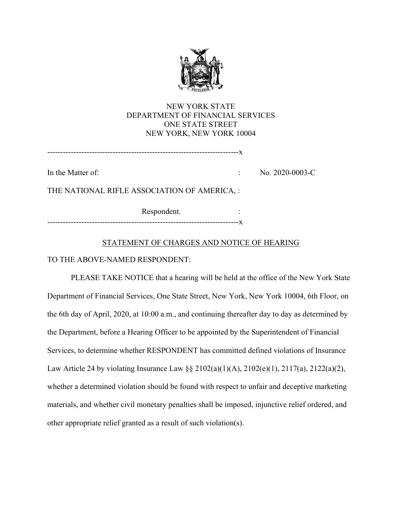

# NEW YORK STATE DEPARTMENT OF FINANCIAL SERVICES ONE STATE STREET NEW YORK, NEW YORK 10004

-------------------------------------------------------------------------x

In the Matter of:  $\qquad \qquad$  No. 2020-0003-C

THE NATIONAL RIFLE ASSOCIATION OF AMERICA, :

Respondent. : -------------------------------------------------------------------------x

### STATEMENT OF CHARGES AND NOTICE OF HEARING

TO THE ABOVE-NAMED RESPONDENT:

PLEASE TAKE NOTICE that a hearing will be held at the office of the New York State Department of Financial Services, One State Street, New York, New York 10004, 6th Floor, on the 6th day of April, 2020, at 10:00 a.m., and continuing thereafter day to day as determined by the Department, before a Hearing Officer to be appointed by the Superintendent of Financial Services, to determine whether RESPONDENT has committed defined violations of Insurance Law Article 24 by violating Insurance Law §§ 2102(a)(1)(A), 2102(e)(1), 2117(a), 2122(a)(2), whether a determined violation should be found with respect to unfair and deceptive marketing materials, and whether civil monetary penalties shall be imposed, injunctive relief ordered, and other appropriate relief granted as a result of such violation(s).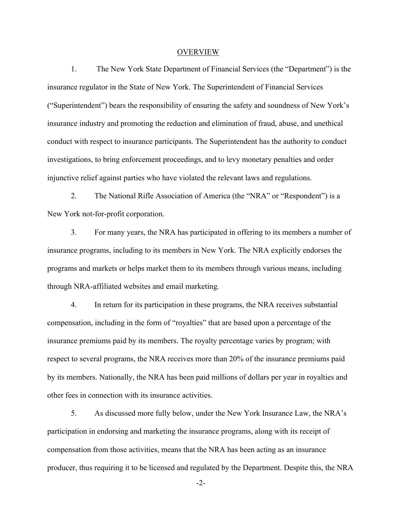#### OVERVIEW

1. The New York State Department of Financial Services (the "Department") is the insurance regulator in the State of New York. The Superintendent of Financial Services ("Superintendent") bears the responsibility of ensuring the safety and soundness of New York's insurance industry and promoting the reduction and elimination of fraud, abuse, and unethical conduct with respect to insurance participants. The Superintendent has the authority to conduct investigations, to bring enforcement proceedings, and to levy monetary penalties and order injunctive relief against parties who have violated the relevant laws and regulations.

2. The National Rifle Association of America (the "NRA" or "Respondent") is a New York not-for-profit corporation.

3. For many years, the NRA has participated in offering to its members a number of insurance programs, including to its members in New York. The NRA explicitly endorses the programs and markets or helps market them to its members through various means, including through NRA-affiliated websites and email marketing.

4. In return for its participation in these programs, the NRA receives substantial compensation, including in the form of "royalties" that are based upon a percentage of the insurance premiums paid by its members. The royalty percentage varies by program; with respect to several programs, the NRA receives more than 20% of the insurance premiums paid by its members. Nationally, the NRA has been paid millions of dollars per year in royalties and other fees in connection with its insurance activities.

5. As discussed more fully below, under the New York Insurance Law, the NRA's participation in endorsing and marketing the insurance programs, along with its receipt of compensation from those activities, means that the NRA has been acting as an insurance producer, thus requiring it to be licensed and regulated by the Department. Despite this, the NRA

-2-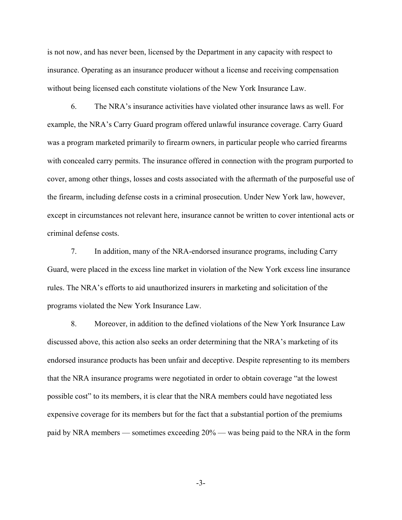is not now, and has never been, licensed by the Department in any capacity with respect to insurance. Operating as an insurance producer without a license and receiving compensation without being licensed each constitute violations of the New York Insurance Law.

6. The NRA's insurance activities have violated other insurance laws as well. For example, the NRA's Carry Guard program offered unlawful insurance coverage. Carry Guard was a program marketed primarily to firearm owners, in particular people who carried firearms with concealed carry permits. The insurance offered in connection with the program purported to cover, among other things, losses and costs associated with the aftermath of the purposeful use of the firearm, including defense costs in a criminal prosecution. Under New York law, however, except in circumstances not relevant here, insurance cannot be written to cover intentional acts or criminal defense costs.

7. In addition, many of the NRA-endorsed insurance programs, including Carry Guard, were placed in the excess line market in violation of the New York excess line insurance rules. The NRA's efforts to aid unauthorized insurers in marketing and solicitation of the programs violated the New York Insurance Law.

8. Moreover, in addition to the defined violations of the New York Insurance Law discussed above, this action also seeks an order determining that the NRA's marketing of its endorsed insurance products has been unfair and deceptive. Despite representing to its members that the NRA insurance programs were negotiated in order to obtain coverage "at the lowest possible cost" to its members, it is clear that the NRA members could have negotiated less expensive coverage for its members but for the fact that a substantial portion of the premiums paid by NRA members — sometimes exceeding 20% — was being paid to the NRA in the form

-3-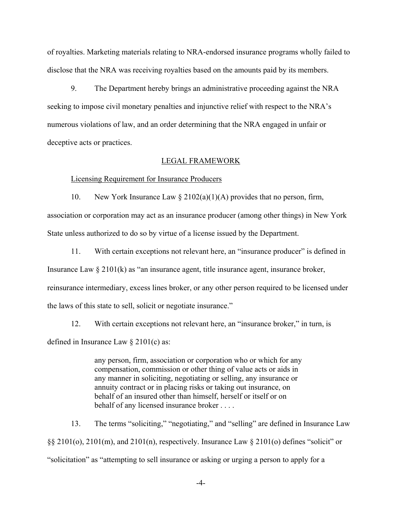of royalties. Marketing materials relating to NRA-endorsed insurance programs wholly failed to disclose that the NRA was receiving royalties based on the amounts paid by its members.

9. The Department hereby brings an administrative proceeding against the NRA seeking to impose civil monetary penalties and injunctive relief with respect to the NRA's numerous violations of law, and an order determining that the NRA engaged in unfair or deceptive acts or practices.

#### LEGAL FRAMEWORK

#### Licensing Requirement for Insurance Producers

10. New York Insurance Law  $\S 2102(a)(1)(A)$  provides that no person, firm, association or corporation may act as an insurance producer (among other things) in New York State unless authorized to do so by virtue of a license issued by the Department.

11. With certain exceptions not relevant here, an "insurance producer" is defined in Insurance Law  $\S 2101(k)$  as "an insurance agent, title insurance agent, insurance broker, reinsurance intermediary, excess lines broker, or any other person required to be licensed under the laws of this state to sell, solicit or negotiate insurance."

12. With certain exceptions not relevant here, an "insurance broker," in turn, is defined in Insurance Law § 2101(c) as:

> any person, firm, association or corporation who or which for any compensation, commission or other thing of value acts or aids in any manner in soliciting, negotiating or selling, any insurance or annuity contract or in placing risks or taking out insurance, on behalf of an insured other than himself, herself or itself or on behalf of any licensed insurance broker . . . .

13. The terms "soliciting," "negotiating," and "selling" are defined in Insurance Law §§ 2101(o), 2101(m), and 2101(n), respectively. Insurance Law § 2101(o) defines "solicit" or "solicitation" as "attempting to sell insurance or asking or urging a person to apply for a

-4-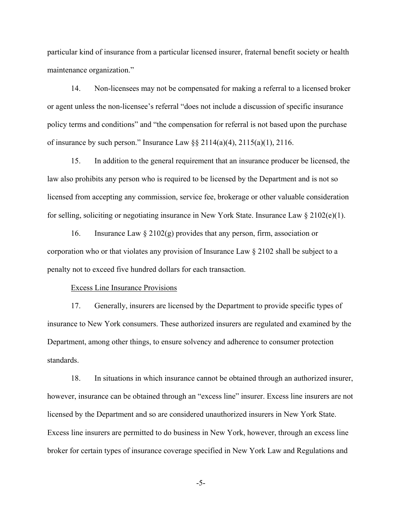particular kind of insurance from a particular licensed insurer, fraternal benefit society or health maintenance organization."

14. Non-licensees may not be compensated for making a referral to a licensed broker or agent unless the non-licensee's referral "does not include a discussion of specific insurance policy terms and conditions" and "the compensation for referral is not based upon the purchase of insurance by such person." Insurance Law  $\S$ § 2114(a)(4), 2115(a)(1), 2116.

15. In addition to the general requirement that an insurance producer be licensed, the law also prohibits any person who is required to be licensed by the Department and is not so licensed from accepting any commission, service fee, brokerage or other valuable consideration for selling, soliciting or negotiating insurance in New York State. Insurance Law  $\S 2102(e)(1)$ .

16. Insurance Law  $\S 2102(g)$  provides that any person, firm, association or corporation who or that violates any provision of Insurance Law § 2102 shall be subject to a penalty not to exceed five hundred dollars for each transaction.

#### Excess Line Insurance Provisions

17. Generally, insurers are licensed by the Department to provide specific types of insurance to New York consumers. These authorized insurers are regulated and examined by the Department, among other things, to ensure solvency and adherence to consumer protection standards.

18. In situations in which insurance cannot be obtained through an authorized insurer, however, insurance can be obtained through an "excess line" insurer. Excess line insurers are not licensed by the Department and so are considered unauthorized insurers in New York State. Excess line insurers are permitted to do business in New York, however, through an excess line broker for certain types of insurance coverage specified in New York Law and Regulations and

-5-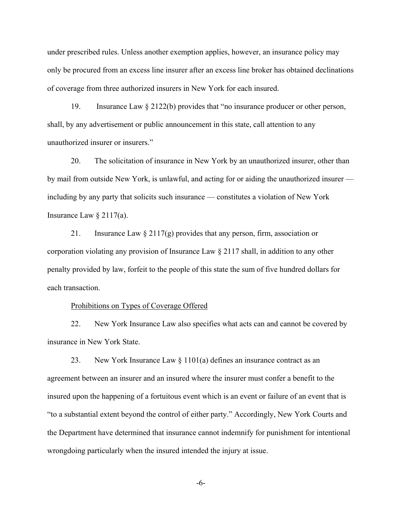under prescribed rules. Unless another exemption applies, however, an insurance policy may only be procured from an excess line insurer after an excess line broker has obtained declinations of coverage from three authorized insurers in New York for each insured.

19. Insurance Law § 2122(b) provides that "no insurance producer or other person, shall, by any advertisement or public announcement in this state, call attention to any unauthorized insurer or insurers."

20. The solicitation of insurance in New York by an unauthorized insurer, other than by mail from outside New York, is unlawful, and acting for or aiding the unauthorized insurer including by any party that solicits such insurance — constitutes a violation of New York Insurance Law  $\S 2117(a)$ .

21. Insurance Law  $\S 2117(g)$  provides that any person, firm, association or corporation violating any provision of Insurance Law § 2117 shall, in addition to any other penalty provided by law, forfeit to the people of this state the sum of five hundred dollars for each transaction.

#### Prohibitions on Types of Coverage Offered

22. New York Insurance Law also specifies what acts can and cannot be covered by insurance in New York State.

23. New York Insurance Law  $\S 1101(a)$  defines an insurance contract as an agreement between an insurer and an insured where the insurer must confer a benefit to the insured upon the happening of a fortuitous event which is an event or failure of an event that is "to a substantial extent beyond the control of either party." Accordingly, New York Courts and the Department have determined that insurance cannot indemnify for punishment for intentional wrongdoing particularly when the insured intended the injury at issue.

-6-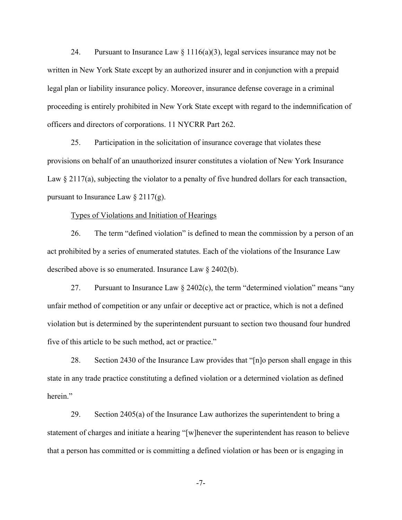24. Pursuant to Insurance Law  $\S 1116(a)(3)$ , legal services insurance may not be written in New York State except by an authorized insurer and in conjunction with a prepaid legal plan or liability insurance policy. Moreover, insurance defense coverage in a criminal proceeding is entirely prohibited in New York State except with regard to the indemnification of officers and directors of corporations. 11 NYCRR Part 262.

25. Participation in the solicitation of insurance coverage that violates these provisions on behalf of an unauthorized insurer constitutes a violation of New York Insurance Law § 2117(a), subjecting the violator to a penalty of five hundred dollars for each transaction, pursuant to Insurance Law  $\S 2117(g)$ .

#### Types of Violations and Initiation of Hearings

26. The term "defined violation" is defined to mean the commission by a person of an act prohibited by a series of enumerated statutes. Each of the violations of the Insurance Law described above is so enumerated. Insurance Law § 2402(b).

27. Pursuant to Insurance Law  $\S$  2402(c), the term "determined violation" means "any unfair method of competition or any unfair or deceptive act or practice, which is not a defined violation but is determined by the superintendent pursuant to section two thousand four hundred five of this article to be such method, act or practice."

28. Section 2430 of the Insurance Law provides that "[n]o person shall engage in this state in any trade practice constituting a defined violation or a determined violation as defined herein."

29. Section 2405(a) of the Insurance Law authorizes the superintendent to bring a statement of charges and initiate a hearing "[w]henever the superintendent has reason to believe that a person has committed or is committing a defined violation or has been or is engaging in

-7-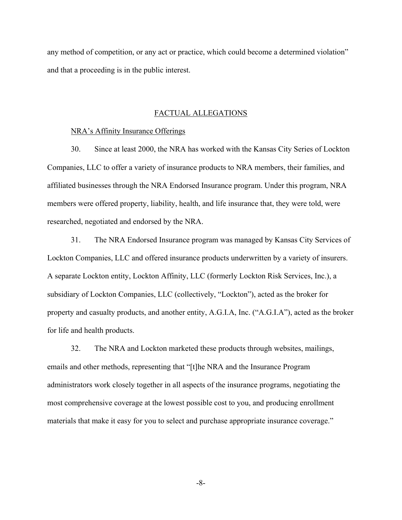any method of competition, or any act or practice, which could become a determined violation" and that a proceeding is in the public interest.

#### FACTUAL ALLEGATIONS

#### NRA's Affinity Insurance Offerings

30. Since at least 2000, the NRA has worked with the Kansas City Series of Lockton Companies, LLC to offer a variety of insurance products to NRA members, their families, and affiliated businesses through the NRA Endorsed Insurance program. Under this program, NRA members were offered property, liability, health, and life insurance that, they were told, were researched, negotiated and endorsed by the NRA.

31. The NRA Endorsed Insurance program was managed by Kansas City Services of Lockton Companies, LLC and offered insurance products underwritten by a variety of insurers. A separate Lockton entity, Lockton Affinity, LLC (formerly Lockton Risk Services, Inc.), a subsidiary of Lockton Companies, LLC (collectively, "Lockton"), acted as the broker for property and casualty products, and another entity, A.G.I.A, Inc. ("A.G.I.A"), acted as the broker for life and health products.

32. The NRA and Lockton marketed these products through websites, mailings, emails and other methods, representing that "[t]he NRA and the Insurance Program administrators work closely together in all aspects of the insurance programs, negotiating the most comprehensive coverage at the lowest possible cost to you, and producing enrollment materials that make it easy for you to select and purchase appropriate insurance coverage."

-8-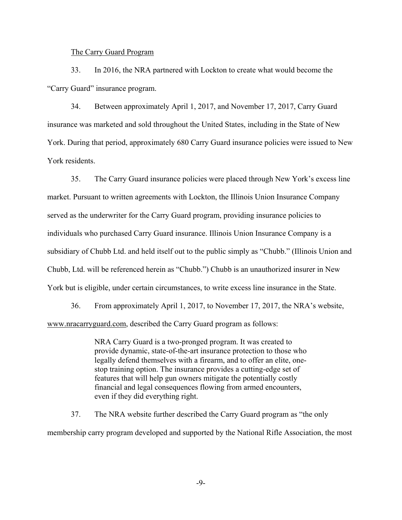#### The Carry Guard Program

33. In 2016, the NRA partnered with Lockton to create what would become the "Carry Guard" insurance program.

34. Between approximately April 1, 2017, and November 17, 2017, Carry Guard insurance was marketed and sold throughout the United States, including in the State of New York. During that period, approximately 680 Carry Guard insurance policies were issued to New York residents.

35. The Carry Guard insurance policies were placed through New York's excess line market. Pursuant to written agreements with Lockton, the Illinois Union Insurance Company served as the underwriter for the Carry Guard program, providing insurance policies to individuals who purchased Carry Guard insurance. Illinois Union Insurance Company is a subsidiary of Chubb Ltd. and held itself out to the public simply as "Chubb." (Illinois Union and Chubb, Ltd. will be referenced herein as "Chubb.") Chubb is an unauthorized insurer in New York but is eligible, under certain circumstances, to write excess line insurance in the State.

36. From approximately April 1, 2017, to November 17, 2017, the NRA's website, www.nracarryguard.com, described the Carry Guard program as follows:

> NRA Carry Guard is a two-pronged program. It was created to provide dynamic, state-of-the-art insurance protection to those who legally defend themselves with a firearm, and to offer an elite, onestop training option. The insurance provides a cutting-edge set of features that will help gun owners mitigate the potentially costly financial and legal consequences flowing from armed encounters, even if they did everything right.

37. The NRA website further described the Carry Guard program as "the only membership carry program developed and supported by the National Rifle Association, the most

-9-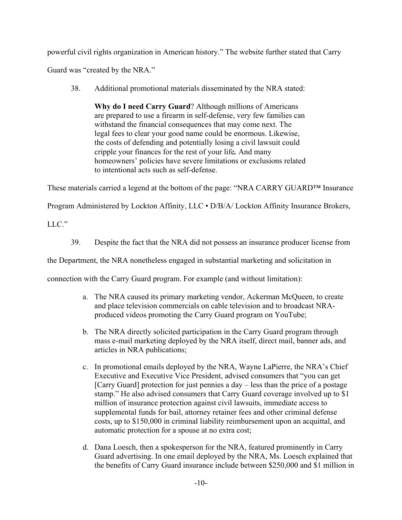powerful civil rights organization in American history." The website further stated that Carry

Guard was "created by the NRA."

38. Additional promotional materials disseminated by the NRA stated:

**Why do I need Carry Guard**? Although millions of Americans are prepared to use a firearm in self-defense, very few families can withstand the financial consequences that may come next. The legal fees to clear your good name could be enormous. Likewise, the costs of defending and potentially losing a civil lawsuit could cripple your finances for the rest of your life*.* And many homeowners' policies have severe limitations or exclusions related to intentional acts such as self-defense.

These materials carried a legend at the bottom of the page: "NRA CARRY GUARD™ Insurance

Program Administered by Lockton Affinity, LLC • D/B/A/ Lockton Affinity Insurance Brokers,

LLC."

39. Despite the fact that the NRA did not possess an insurance producer license from

the Department, the NRA nonetheless engaged in substantial marketing and solicitation in

connection with the Carry Guard program. For example (and without limitation):

- a. The NRA caused its primary marketing vendor, Ackerman McQueen, to create and place television commercials on cable television and to broadcast NRAproduced videos promoting the Carry Guard program on YouTube;
- b. The NRA directly solicited participation in the Carry Guard program through mass e-mail marketing deployed by the NRA itself, direct mail, banner ads, and articles in NRA publications;
- c. In promotional emails deployed by the NRA, Wayne LaPierre, the NRA's Chief Executive and Executive Vice President, advised consumers that "you can get [Carry Guard] protection for just pennies a day – less than the price of a postage stamp." He also advised consumers that Carry Guard coverage involved up to \$1 million of insurance protection against civil lawsuits, immediate access to supplemental funds for bail, attorney retainer fees and other criminal defense costs, up to \$150,000 in criminal liability reimbursement upon an acquittal, and automatic protection for a spouse at no extra cost;
- d. Dana Loesch, then a spokesperson for the NRA, featured prominently in Carry Guard advertising. In one email deployed by the NRA, Ms. Loesch explained that the benefits of Carry Guard insurance include between \$250,000 and \$1 million in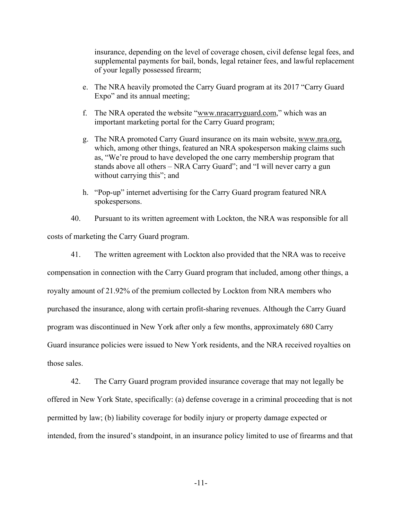insurance, depending on the level of coverage chosen, civil defense legal fees, and supplemental payments for bail, bonds, legal retainer fees, and lawful replacement of your legally possessed firearm;

- e. The NRA heavily promoted the Carry Guard program at its 2017 "Carry Guard Expo" and its annual meeting;
- f. The NRA operated the website "www.nracarryguard.com," which was an important marketing portal for the Carry Guard program;
- g. The NRA promoted Carry Guard insurance on its main website, www.nra.org, which, among other things, featured an NRA spokesperson making claims such as, "We're proud to have developed the one carry membership program that stands above all others – NRA Carry Guard"; and "I will never carry a gun without carrying this"; and
- h. "Pop-up" internet advertising for the Carry Guard program featured NRA spokespersons.

40. Pursuant to its written agreement with Lockton, the NRA was responsible for all costs of marketing the Carry Guard program.

41. The written agreement with Lockton also provided that the NRA was to receive

compensation in connection with the Carry Guard program that included, among other things, a royalty amount of 21.92% of the premium collected by Lockton from NRA members who purchased the insurance, along with certain profit-sharing revenues. Although the Carry Guard program was discontinued in New York after only a few months, approximately 680 Carry Guard insurance policies were issued to New York residents, and the NRA received royalties on those sales.

42. The Carry Guard program provided insurance coverage that may not legally be offered in New York State, specifically: (a) defense coverage in a criminal proceeding that is not permitted by law; (b) liability coverage for bodily injury or property damage expected or intended, from the insured's standpoint, in an insurance policy limited to use of firearms and that

-11-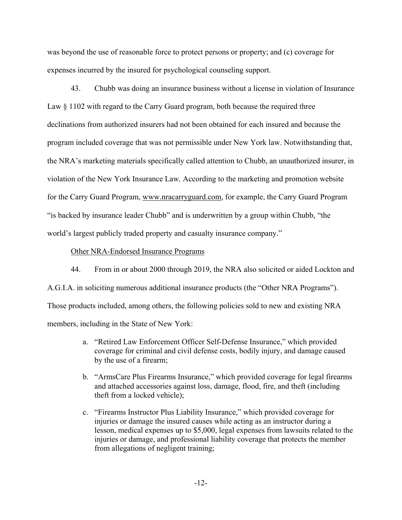was beyond the use of reasonable force to protect persons or property; and (c) coverage for expenses incurred by the insured for psychological counseling support.

43. Chubb was doing an insurance business without a license in violation of Insurance Law § 1102 with regard to the Carry Guard program, both because the required three declinations from authorized insurers had not been obtained for each insured and because the program included coverage that was not permissible under New York law. Notwithstanding that, the NRA's marketing materials specifically called attention to Chubb, an unauthorized insurer, in violation of the New York Insurance Law. According to the marketing and promotion website for the Carry Guard Program, www.nracarryguard.com, for example, the Carry Guard Program "is backed by insurance leader Chubb" and is underwritten by a group within Chubb, "the world's largest publicly traded property and casualty insurance company."

### Other NRA-Endorsed Insurance Programs

44. From in or about 2000 through 2019, the NRA also solicited or aided Lockton and A.G.I.A. in soliciting numerous additional insurance products (the "Other NRA Programs"). Those products included, among others, the following policies sold to new and existing NRA members, including in the State of New York:

- by the use of a firearm; a. "Retired Law Enforcement Officer Self-Defense Insurance," which provided coverage for criminal and civil defense costs, bodily injury, and damage caused
- b. "ArmsCare Plus Firearms Insurance," which provided coverage for legal firearms and attached accessories against loss, damage, flood, fire, and theft (including theft from a locked vehicle);
- c. "Firearms Instructor Plus Liability Insurance," which provided coverage for injuries or damage the insured causes while acting as an instructor during a lesson, medical expenses up to \$5,000, legal expenses from lawsuits related to the injuries or damage, and professional liability coverage that protects the member from allegations of negligent training;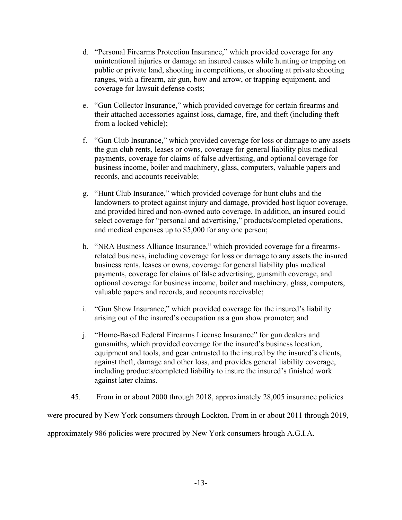- d. "Personal Firearms Protection Insurance," which provided coverage for any unintentional injuries or damage an insured causes while hunting or trapping on public or private land, shooting in competitions, or shooting at private shooting ranges, with a firearm, air gun, bow and arrow, or trapping equipment, and coverage for lawsuit defense costs;
- e. "Gun Collector Insurance," which provided coverage for certain firearms and their attached accessories against loss, damage, fire, and theft (including theft from a locked vehicle);
- f. "Gun Club Insurance," which provided coverage for loss or damage to any assets the gun club rents, leases or owns, coverage for general liability plus medical payments, coverage for claims of false advertising, and optional coverage for business income, boiler and machinery, glass, computers, valuable papers and records, and accounts receivable;
- g. "Hunt Club Insurance," which provided coverage for hunt clubs and the landowners to protect against injury and damage, provided host liquor coverage, and provided hired and non-owned auto coverage. In addition, an insured could select coverage for "personal and advertising," products/completed operations, and medical expenses up to \$5,000 for any one person;
- h. "NRA Business Alliance Insurance," which provided coverage for a firearmsrelated business, including coverage for loss or damage to any assets the insured business rents, leases or owns, coverage for general liability plus medical payments, coverage for claims of false advertising, gunsmith coverage, and optional coverage for business income, boiler and machinery, glass, computers, valuable papers and records, and accounts receivable;
- i. "Gun Show Insurance," which provided coverage for the insured's liability arising out of the insured's occupation as a gun show promoter; and
- j. "Home-Based Federal Firearms License Insurance" for gun dealers and gunsmiths, which provided coverage for the insured's business location, equipment and tools, and gear entrusted to the insured by the insured's clients, against theft, damage and other loss, and provides general liability coverage, including products/completed liability to insure the insured's finished work against later claims.
- 45. From in or about 2000 through 2018, approximately 28,005 insurance policies

were procured by New York consumers through Lockton. From in or about 2011 through 2019,

approximately 986 policies were procured by New York consumers hrough A.G.I.A.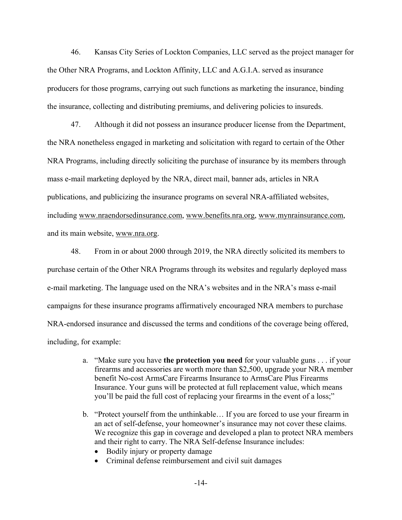46. Kansas City Series of Lockton Companies, LLC served as the project manager for the Other NRA Programs, and Lockton Affinity, LLC and A.G.I.A. served as insurance producers for those programs, carrying out such functions as marketing the insurance, binding the insurance, collecting and distributing premiums, and delivering policies to insureds.

47. Although it did not possess an insurance producer license from the Department, the NRA nonetheless engaged in marketing and solicitation with regard to certain of the Other NRA Programs, including directly soliciting the purchase of insurance by its members through mass e-mail marketing deployed by the NRA, direct mail, banner ads, articles in NRA publications, and publicizing the insurance programs on several NRA-affiliated websites, including www.nraendorsedinsurance.com, www.benefits.nra.org, www.mynrainsurance.com, and its main website, www.nra.org.

48. From in or about 2000 through 2019, the NRA directly solicited its members to purchase certain of the Other NRA Programs through its websites and regularly deployed mass e-mail marketing. The language used on the NRA's websites and in the NRA's mass e-mail campaigns for these insurance programs affirmatively encouraged NRA members to purchase NRA-endorsed insurance and discussed the terms and conditions of the coverage being offered, including, for example:

- a. "Make sure you have **the protection you need** for your valuable guns . . . if your firearms and accessories are worth more than \$2,500, upgrade your NRA member benefit No-cost ArmsCare Firearms Insurance to ArmsCare Plus Firearms Insurance. Your guns will be protected at full replacement value, which means you'll be paid the full cost of replacing your firearms in the event of a loss;"
- b. "Protect yourself from the unthinkable… If you are forced to use your firearm in an act of self-defense, your homeowner's insurance may not cover these claims. We recognize this gap in coverage and developed a plan to protect NRA members and their right to carry. The NRA Self-defense Insurance includes:
	- Bodily injury or property damage
	- Criminal defense reimbursement and civil suit damages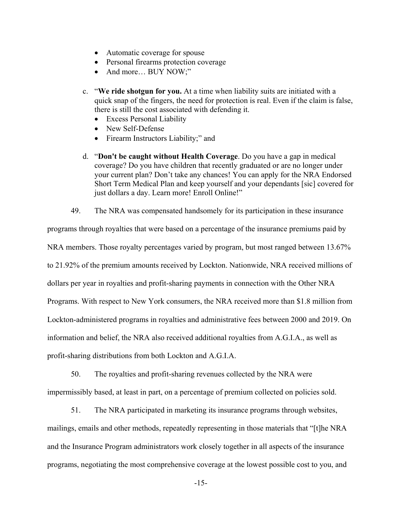- Automatic coverage for spouse
- Personal firearms protection coverage
- And more... BUY NOW;"
- c. "**We ride shotgun for you.** At a time when liability suits are initiated with a quick snap of the fingers, the need for protection is real. Even if the claim is false, there is still the cost associated with defending it.
	- Excess Personal Liability
	- New Self-Defense
	- Firearm Instructors Liability;" and
- d. "**Don't be caught without Health Coverage**. Do you have a gap in medical coverage? Do you have children that recently graduated or are no longer under your current plan? Don't take any chances! You can apply for the NRA Endorsed Short Term Medical Plan and keep yourself and your dependants [sic] covered for just dollars a day. Learn more! Enroll Online!"
- 49. The NRA was compensated handsomely for its participation in these insurance

programs through royalties that were based on a percentage of the insurance premiums paid by NRA members. Those royalty percentages varied by program, but most ranged between 13.67% to 21.92% of the premium amounts received by Lockton. Nationwide, NRA received millions of dollars per year in royalties and profit-sharing payments in connection with the Other NRA Programs. With respect to New York consumers, the NRA received more than \$1.8 million from Lockton-administered programs in royalties and administrative fees between 2000 and 2019. On information and belief, the NRA also received additional royalties from A.G.I.A., as well as profit-sharing distributions from both Lockton and A.G.I.A.

50. The royalties and profit-sharing revenues collected by the NRA were impermissibly based, at least in part, on a percentage of premium collected on policies sold.

51. The NRA participated in marketing its insurance programs through websites, mailings, emails and other methods, repeatedly representing in those materials that "[t]he NRA and the Insurance Program administrators work closely together in all aspects of the insurance programs, negotiating the most comprehensive coverage at the lowest possible cost to you, and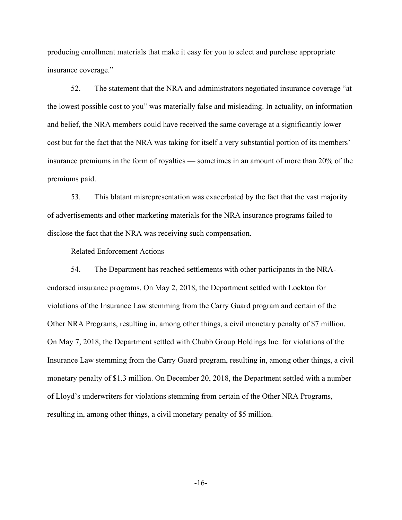producing enrollment materials that make it easy for you to select and purchase appropriate insurance coverage."

52. The statement that the NRA and administrators negotiated insurance coverage "at the lowest possible cost to you" was materially false and misleading. In actuality, on information and belief, the NRA members could have received the same coverage at a significantly lower cost but for the fact that the NRA was taking for itself a very substantial portion of its members' insurance premiums in the form of royalties — sometimes in an amount of more than 20% of the premiums paid.

53. This blatant misrepresentation was exacerbated by the fact that the vast majority of advertisements and other marketing materials for the NRA insurance programs failed to disclose the fact that the NRA was receiving such compensation.

#### Related Enforcement Actions

54. The Department has reached settlements with other participants in the NRAendorsed insurance programs. On May 2, 2018, the Department settled with Lockton for violations of the Insurance Law stemming from the Carry Guard program and certain of the Other NRA Programs, resulting in, among other things, a civil monetary penalty of \$7 million. On May 7, 2018, the Department settled with Chubb Group Holdings Inc. for violations of the Insurance Law stemming from the Carry Guard program, resulting in, among other things, a civil monetary penalty of \$1.3 million. On December 20, 2018, the Department settled with a number of Lloyd's underwriters for violations stemming from certain of the Other NRA Programs, resulting in, among other things, a civil monetary penalty of \$5 million.

-16-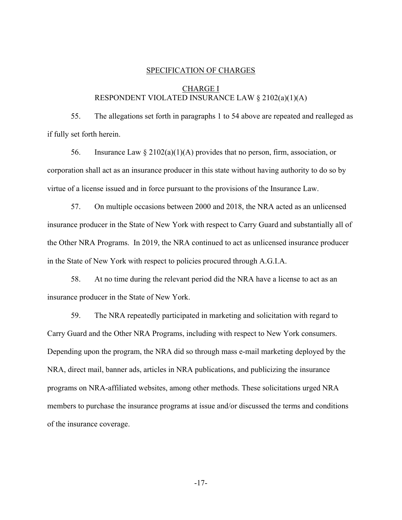#### SPECIFICATION OF CHARGES

## CHARGE I RESPONDENT VIOLATED INSURANCE LAW § 2102(a)(1)(A)

55. The allegations set forth in paragraphs 1 to 54 above are repeated and realleged as if fully set forth herein.

56. Insurance Law  $\S 2102(a)(1)(A)$  provides that no person, firm, association, or corporation shall act as an insurance producer in this state without having authority to do so by virtue of a license issued and in force pursuant to the provisions of the Insurance Law.

57. On multiple occasions between 2000 and 2018, the NRA acted as an unlicensed insurance producer in the State of New York with respect to Carry Guard and substantially all of the Other NRA Programs. In 2019, the NRA continued to act as unlicensed insurance producer in the State of New York with respect to policies procured through A.G.I.A.

58. At no time during the relevant period did the NRA have a license to act as an insurance producer in the State of New York.

59. The NRA repeatedly participated in marketing and solicitation with regard to Carry Guard and the Other NRA Programs, including with respect to New York consumers. Depending upon the program, the NRA did so through mass e-mail marketing deployed by the NRA, direct mail, banner ads, articles in NRA publications, and publicizing the insurance programs on NRA-affiliated websites, among other methods. These solicitations urged NRA members to purchase the insurance programs at issue and/or discussed the terms and conditions of the insurance coverage.

-17-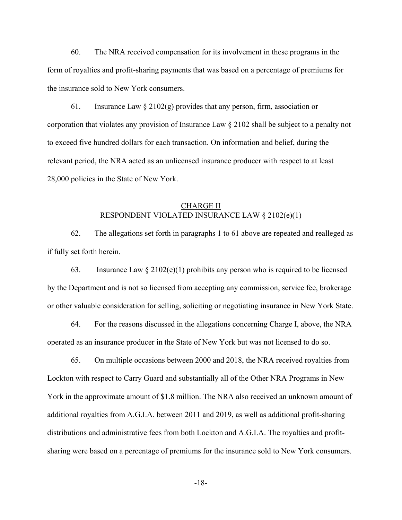60. The NRA received compensation for its involvement in these programs in the form of royalties and profit-sharing payments that was based on a percentage of premiums for the insurance sold to New York consumers.

61. Insurance Law  $\S 2102(g)$  provides that any person, firm, association or corporation that violates any provision of Insurance Law § 2102 shall be subject to a penalty not to exceed five hundred dollars for each transaction. On information and belief, during the relevant period, the NRA acted as an unlicensed insurance producer with respect to at least 28,000 policies in the State of New York.

### CHARGE II RESPONDENT VIOLATED INSURANCE LAW § 2102(e)(1)

62. The allegations set forth in paragraphs 1 to 61 above are repeated and realleged as if fully set forth herein.

63. Insurance Law  $\S 2102(e)(1)$  prohibits any person who is required to be licensed by the Department and is not so licensed from accepting any commission, service fee, brokerage or other valuable consideration for selling, soliciting or negotiating insurance in New York State.

64. For the reasons discussed in the allegations concerning Charge I, above, the NRA operated as an insurance producer in the State of New York but was not licensed to do so.

65. On multiple occasions between 2000 and 2018, the NRA received royalties from Lockton with respect to Carry Guard and substantially all of the Other NRA Programs in New York in the approximate amount of \$1.8 million. The NRA also received an unknown amount of additional royalties from A.G.I.A. between 2011 and 2019, as well as additional profit-sharing distributions and administrative fees from both Lockton and A.G.I.A. The royalties and profitsharing were based on a percentage of premiums for the insurance sold to New York consumers.

-18-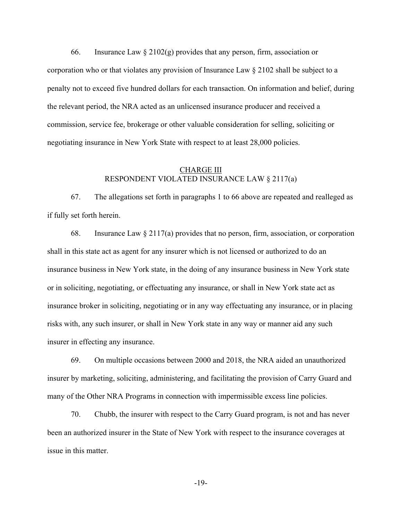66. Insurance Law  $\S 2102(g)$  provides that any person, firm, association or corporation who or that violates any provision of Insurance Law § 2102 shall be subject to a penalty not to exceed five hundred dollars for each transaction. On information and belief, during the relevant period, the NRA acted as an unlicensed insurance producer and received a commission, service fee, brokerage or other valuable consideration for selling, soliciting or negotiating insurance in New York State with respect to at least 28,000 policies.

### CHARGE III RESPONDENT VIOLATED INSURANCE LAW § 2117(a)

67. The allegations set forth in paragraphs 1 to 66 above are repeated and realleged as if fully set forth herein.

68. Insurance Law  $\S 2117(a)$  provides that no person, firm, association, or corporation shall in this state act as agent for any insurer which is not licensed or authorized to do an insurance business in New York state, in the doing of any insurance business in New York state or in soliciting, negotiating, or effectuating any insurance, or shall in New York state act as insurance broker in soliciting, negotiating or in any way effectuating any insurance, or in placing risks with, any such insurer, or shall in New York state in any way or manner aid any such insurer in effecting any insurance.

69. On multiple occasions between 2000 and 2018, the NRA aided an unauthorized insurer by marketing, soliciting, administering, and facilitating the provision of Carry Guard and many of the Other NRA Programs in connection with impermissible excess line policies.

70. Chubb, the insurer with respect to the Carry Guard program, is not and has never been an authorized insurer in the State of New York with respect to the insurance coverages at issue in this matter.

-19-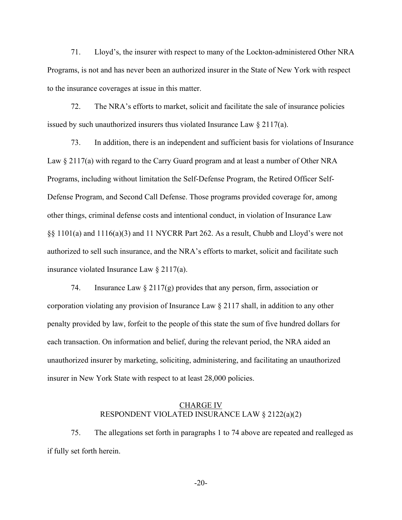71. Lloyd's, the insurer with respect to many of the Lockton-administered Other NRA Programs, is not and has never been an authorized insurer in the State of New York with respect to the insurance coverages at issue in this matter.

72. The NRA's efforts to market, solicit and facilitate the sale of insurance policies issued by such unauthorized insurers thus violated Insurance Law § 2117(a).

73. In addition, there is an independent and sufficient basis for violations of Insurance Law  $\S 2117(a)$  with regard to the Carry Guard program and at least a number of Other NRA Programs, including without limitation the Self-Defense Program, the Retired Officer Self-Defense Program, and Second Call Defense. Those programs provided coverage for, among other things, criminal defense costs and intentional conduct, in violation of Insurance Law §§ 1101(a) and 1116(a)(3) and 11 NYCRR Part 262. As a result, Chubb and Lloyd's were not authorized to sell such insurance, and the NRA's efforts to market, solicit and facilitate such insurance violated Insurance Law § 2117(a).

74. Insurance Law  $\S 2117(g)$  provides that any person, firm, association or corporation violating any provision of Insurance Law § 2117 shall, in addition to any other penalty provided by law, forfeit to the people of this state the sum of five hundred dollars for each transaction. On information and belief, during the relevant period, the NRA aided an unauthorized insurer by marketing, soliciting, administering, and facilitating an unauthorized insurer in New York State with respect to at least 28,000 policies.

### CHARGE IV RESPONDENT VIOLATED INSURANCE LAW § 2122(a)(2)

75. The allegations set forth in paragraphs 1 to 74 above are repeated and realleged as if fully set forth herein.

-20-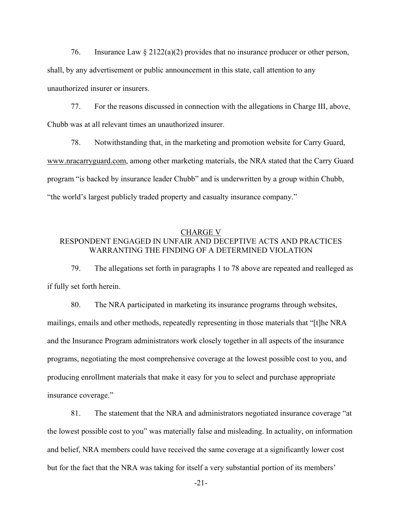76. Insurance Law  $\S 2122(a)(2)$  provides that no insurance producer or other person, shall, by any advertisement or public announcement in this state, call attention to any unauthorized insurer or insurers.

77. For the reasons discussed in connection with the allegations in Charge III, above, Chubb was at all relevant times an unauthorized insurer.

78. Notwithstanding that, in the marketing and promotion website for Carry Guard, www.nracarryguard.com, among other marketing materials, the NRA stated that the Carry Guard program "is backed by insurance leader Chubb" and is underwritten by a group within Chubb, "the world's largest publicly traded property and casualty insurance company."

### CHARGE V RESPONDENT ENGAGED IN UNFAIR AND DECEPTIVE ACTS AND PRACTICES WARRANTING THE FINDING OF A DETERMINED VIOLATION

79. The allegations set forth in paragraphs 1 to 78 above are repeated and realleged as if fully set forth herein.

80. The NRA participated in marketing its insurance programs through websites, mailings, emails and other methods, repeatedly representing in those materials that "[t]he NRA and the Insurance Program administrators work closely together in all aspects of the insurance programs, negotiating the most comprehensive coverage at the lowest possible cost to you, and producing enrollment materials that make it easy for you to select and purchase appropriate insurance coverage."

81. The statement that the NRA and administrators negotiated insurance coverage "at the lowest possible cost to you" was materially false and misleading. In actuality, on information and belief, NRA members could have received the same coverage at a significantly lower cost but for the fact that the NRA was taking for itself a very substantial portion of its members'

-21-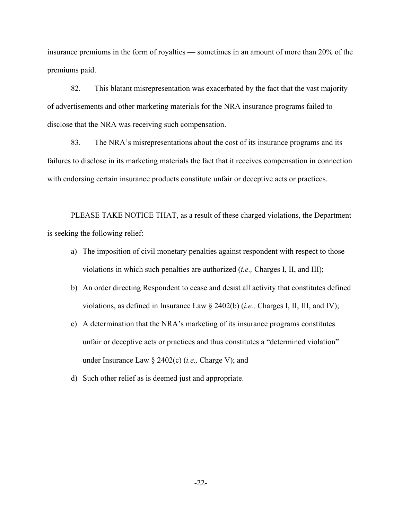insurance premiums in the form of royalties — sometimes in an amount of more than 20% of the premiums paid.

82. This blatant misrepresentation was exacerbated by the fact that the vast majority of advertisements and other marketing materials for the NRA insurance programs failed to disclose that the NRA was receiving such compensation.

83. The NRA's misrepresentations about the cost of its insurance programs and its failures to disclose in its marketing materials the fact that it receives compensation in connection with endorsing certain insurance products constitute unfair or deceptive acts or practices.

PLEASE TAKE NOTICE THAT, as a result of these charged violations, the Department is seeking the following relief:

- a) The imposition of civil monetary penalties against respondent with respect to those violations in which such penalties are authorized (*i.e.,* Charges I, II, and III);
- b) An order directing Respondent to cease and desist all activity that constitutes defined violations, as defined in Insurance Law § 2402(b) (*i.e.,* Charges I, II, III, and IV);
- c) A determination that the NRA's marketing of its insurance programs constitutes unfair or deceptive acts or practices and thus constitutes a "determined violation" under Insurance Law § 2402(c) (*i.e.,* Charge V); and
- d) Such other relief as is deemed just and appropriate.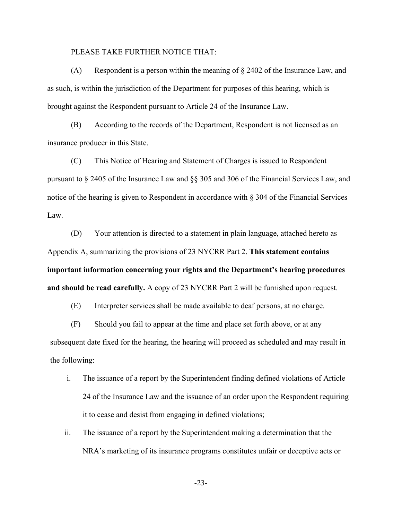#### PLEASE TAKE FURTHER NOTICE THAT:

(A) Respondent is a person within the meaning of  $\S$  2402 of the Insurance Law, and as such, is within the jurisdiction of the Department for purposes of this hearing, which is brought against the Respondent pursuant to Article 24 of the Insurance Law.

(B) According to the records of the Department, Respondent is not licensed as an insurance producer in this State.

(C) This Notice of Hearing and Statement of Charges is issued to Respondent pursuant to § 2405 of the Insurance Law and §§ 305 and 306 of the Financial Services Law, and notice of the hearing is given to Respondent in accordance with § 304 of the Financial Services Law.

(D) Your attention is directed to a statement in plain language, attached hereto as Appendix A, summarizing the provisions of 23 NYCRR Part 2. **This statement contains important information concerning your rights and the Department's hearing procedures and should be read carefully.** A copy of 23 NYCRR Part 2 will be furnished upon request.

(E) Interpreter services shall be made available to deaf persons, at no charge.

(F) Should you fail to appear at the time and place set forth above, or at any subsequent date fixed for the hearing, the hearing will proceed as scheduled and may result in the following:

- i. The issuance of a report by the Superintendent finding defined violations of Article 24 of the Insurance Law and the issuance of an order upon the Respondent requiring it to cease and desist from engaging in defined violations;
- ii. The issuance of a report by the Superintendent making a determination that the NRA's marketing of its insurance programs constitutes unfair or deceptive acts or

-23-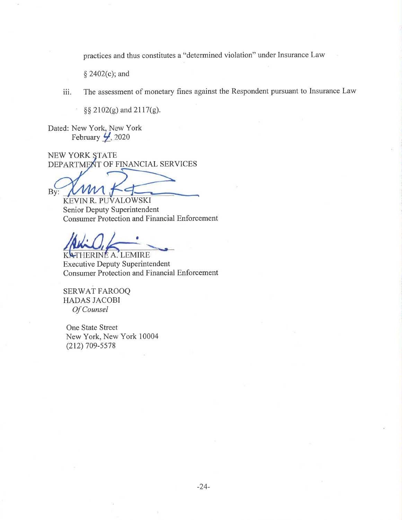practices and thus constitutes a "determined violation" under Insurance Law

§ 2402(c); and

The assessment of monetary fines against the Respondent pursuant to Insurance Law  $iii.$ 

§§ 2102(g) and 2117(g).

Dated: New York, New York February  $\frac{1}{2}$ , 2020

NEW YORK STATE DEPARTMENT OF FINANCIAL SERVICES

By:

KEVIN R. PUVALOWSKI Senior Deputy Superintendent Consumer Protection and Financial Enforcement

HERINE A. LEMIRE **Executive Deputy Superintendent Consumer Protection and Financial Enforcement** 

**SERWAT FAROOQ HADAS JACOBI** Of Counsel

One State Street New York, New York 10004  $(212)$  709-5578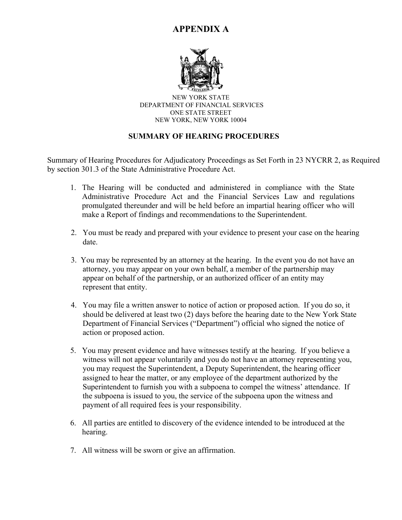# **APPENDIX A**



 ONE STATE STREET NEW YORK STATE DEPARTMENT OF FINANCIAL SERVICES NEW YORK, NEW YORK 10004

# **SUMMARY OF HEARING PROCEDURES**

Summary of Hearing Procedures for Adjudicatory Proceedings as Set Forth in 23 NYCRR 2, as Required by section 301.3 of the State Administrative Procedure Act.

- 1. The Hearing will be conducted and administered in compliance with the State Administrative Procedure Act and the Financial Services Law and regulations promulgated thereunder and will be held before an impartial hearing officer who will make a Report of findings and recommendations to the Superintendent.
- 2. You must be ready and prepared with your evidence to present your case on the hearing date.
- 3. You may be represented by an attorney at the hearing. In the event you do not have an attorney, you may appear on your own behalf, a member of the partnership may appear on behalf of the partnership, or an authorized officer of an entity may represent that entity.
- 4. You may file a written answer to notice of action or proposed action. If you do so, it should be delivered at least two (2) days before the hearing date to the New York State Department of Financial Services ("Department") official who signed the notice of action or proposed action.
- 5. You may present evidence and have witnesses testify at the hearing. If you believe a witness will not appear voluntarily and you do not have an attorney representing you, you may request the Superintendent, a Deputy Superintendent, the hearing officer assigned to hear the matter, or any employee of the department authorized by the Superintendent to furnish you with a subpoena to compel the witness' attendance. If the subpoena is issued to you, the service of the subpoena upon the witness and payment of all required fees is your responsibility.
- 6. All parties are entitled to discovery of the evidence intended to be introduced at the hearing.
- 7. All witness will be sworn or give an affirmation.